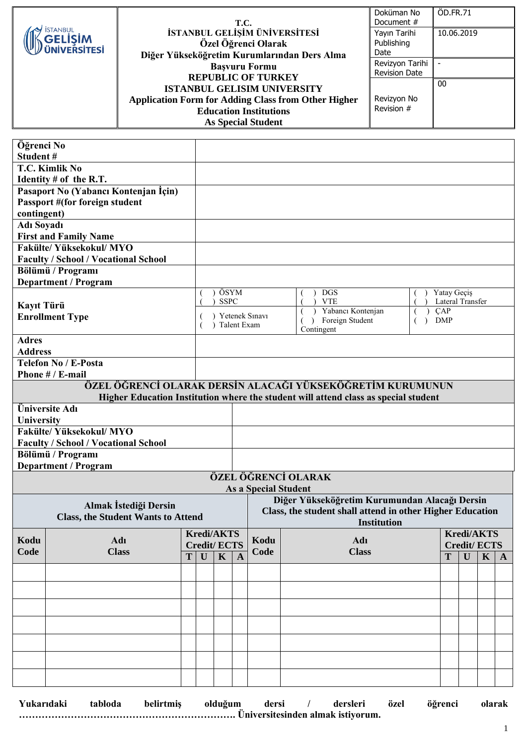|                                                     | T.C.                                                                                                                     | Doküman No<br>Document #                | ÖD.FR.71   |
|-----------------------------------------------------|--------------------------------------------------------------------------------------------------------------------------|-----------------------------------------|------------|
| <b>İSTANBUL</b><br>GELİŞİM<br><b>/ ÜNİVERSİTESİ</b> | İSTANBUL GELİŞİM ÜNİVERSİTESİ<br>Özel Öğrenci Olarak<br>Diğer Yükseköğretim Kurumlarından Ders Alma                      | Yayın Tarihi<br>Publishing<br>Date      | 10.06.2019 |
|                                                     | <b>Başvuru Formu</b><br><b>REPUBLIC OF TURKEY</b>                                                                        | Revizyon Tarihi<br><b>Revision Date</b> |            |
|                                                     | <b>ISTANBUL GELISIM UNIVERSITY</b>                                                                                       |                                         | 00         |
|                                                     | <b>Application Form for Adding Class from Other Higher</b><br><b>Education Institutions</b><br><b>As Special Student</b> | Revizyon No<br>Revision #               |            |

| Öğrenci No<br>Student#                                           |                                             |   |                                               |                     |              |                |                                                                                     |                                 |              |              |              |
|------------------------------------------------------------------|---------------------------------------------|---|-----------------------------------------------|---------------------|--------------|----------------|-------------------------------------------------------------------------------------|---------------------------------|--------------|--------------|--------------|
|                                                                  | T.C. Kimlik No                              |   |                                               |                     |              |                |                                                                                     |                                 |              |              |              |
|                                                                  | Identity $#$ of the R.T.                    |   |                                               |                     |              |                |                                                                                     |                                 |              |              |              |
|                                                                  | Pasaport No (Yabancı Kontenjan İçin)        |   |                                               |                     |              |                |                                                                                     |                                 |              |              |              |
|                                                                  | Passport #(for foreign student              |   |                                               |                     |              |                |                                                                                     |                                 |              |              |              |
| contingent)                                                      |                                             |   |                                               |                     |              |                |                                                                                     |                                 |              |              |              |
| <b>Adı Soyadı</b>                                                | <b>First and Family Name</b>                |   |                                               |                     |              |                |                                                                                     |                                 |              |              |              |
|                                                                  | <b>Fakülte/ Yüksekokul/ MYO</b>             |   |                                               |                     |              |                |                                                                                     |                                 |              |              |              |
|                                                                  | <b>Faculty / School / Vocational School</b> |   |                                               |                     |              |                |                                                                                     |                                 |              |              |              |
|                                                                  | Bölümü / Programı                           |   |                                               |                     |              |                |                                                                                     |                                 |              |              |              |
|                                                                  | <b>Department / Program</b>                 |   |                                               |                     |              |                |                                                                                     |                                 |              |              |              |
|                                                                  |                                             |   |                                               | ÖSYM<br><b>SSPC</b> |              |                | <b>DGS</b><br><b>VTE</b>                                                            | Yatay Geçiş<br>Lateral Transfer |              |              |              |
| Kayıt Türü                                                       |                                             |   |                                               |                     |              |                | Yabancı Kontenjan                                                                   | $\overline{CAP}$                |              |              |              |
|                                                                  | <b>Enrollment Type</b>                      |   |                                               |                     | Talent Exam  | Yetenek Sınavı | Foreign Student<br>$\rightarrow$<br>$\lambda$                                       | <b>DMP</b>                      |              |              |              |
| <b>Adres</b>                                                     |                                             |   |                                               |                     |              |                | Contingent                                                                          |                                 |              |              |              |
| <b>Address</b>                                                   |                                             |   |                                               |                     |              |                |                                                                                     |                                 |              |              |              |
|                                                                  | <b>Telefon No / E-Posta</b>                 |   |                                               |                     |              |                |                                                                                     |                                 |              |              |              |
|                                                                  | Phone # / E-mail                            |   |                                               |                     |              |                |                                                                                     |                                 |              |              |              |
|                                                                  |                                             |   |                                               |                     |              |                | ÖZEL ÖĞRENCİ OLARAK DERSİN ALACAĞI YÜKSEKÖĞRETİM KURUMUNUN                          |                                 |              |              |              |
|                                                                  |                                             |   |                                               |                     |              |                | Higher Education Institution where the student will attend class as special student |                                 |              |              |              |
|                                                                  | Üniversite Adı                              |   |                                               |                     |              |                |                                                                                     |                                 |              |              |              |
| University                                                       |                                             |   |                                               |                     |              |                |                                                                                     |                                 |              |              |              |
| Fakülte/Yüksekokul/MYO                                           |                                             |   |                                               |                     |              |                |                                                                                     |                                 |              |              |              |
| <b>Faculty / School / Vocational School</b><br>Bölümü / Programı |                                             |   |                                               |                     |              |                |                                                                                     |                                 |              |              |              |
|                                                                  | <b>Department / Program</b>                 |   |                                               |                     |              |                |                                                                                     |                                 |              |              |              |
|                                                                  |                                             |   |                                               |                     |              |                | ÖZEL ÖĞRENCİ OLARAK                                                                 |                                 |              |              |              |
|                                                                  | <b>As a Special Student</b>                 |   |                                               |                     |              |                |                                                                                     |                                 |              |              |              |
| Almak İstediği Dersin                                            |                                             |   | Diğer Yükseköğretim Kurumundan Alacağı Dersin |                     |              |                |                                                                                     |                                 |              |              |              |
|                                                                  | <b>Class, the Student Wants to Attend</b>   |   |                                               |                     |              |                | Class, the student shall attend in other Higher Education                           |                                 |              |              |              |
|                                                                  |                                             |   |                                               |                     |              |                | <b>Institution</b>                                                                  |                                 |              |              |              |
| Kodu                                                             | Adı                                         |   | <b>Kredi/AKTS</b><br><b>Credit/ECTS</b>       |                     | Kodu         | Adı            | <b>Kredi/AKTS</b><br><b>Credit/ECTS</b>                                             |                                 |              |              |              |
| Code                                                             | <b>Class</b>                                | T | $\mathbf{U}$                                  | $\mathbf K$         | $\mathbf{A}$ | Code           | <b>Class</b>                                                                        | T                               | $\mathbf{U}$ | $\mathbf{K}$ | $\mathbf{A}$ |
|                                                                  |                                             |   |                                               |                     |              |                |                                                                                     |                                 |              |              |              |
|                                                                  |                                             |   |                                               |                     |              |                |                                                                                     |                                 |              |              |              |
|                                                                  |                                             |   |                                               |                     |              |                |                                                                                     |                                 |              |              |              |
|                                                                  |                                             |   |                                               |                     |              |                |                                                                                     |                                 |              |              |              |
|                                                                  |                                             |   |                                               |                     |              |                |                                                                                     |                                 |              |              |              |
|                                                                  |                                             |   |                                               |                     |              |                |                                                                                     |                                 |              |              |              |
|                                                                  |                                             |   |                                               |                     |              |                |                                                                                     |                                 |              |              |              |
|                                                                  |                                             |   |                                               |                     |              |                |                                                                                     |                                 |              |              |              |
|                                                                  |                                             |   |                                               |                     |              |                |                                                                                     |                                 |              |              |              |
|                                                                  |                                             |   |                                               |                     |              |                |                                                                                     |                                 |              |              |              |

| Yukarıdaki | tabloda | belirtmis | olduğum | dersi | dersleri | özel | öğrenci | olarak |
|------------|---------|-----------|---------|-------|----------|------|---------|--------|
|            |         |           |         |       |          |      |         |        |